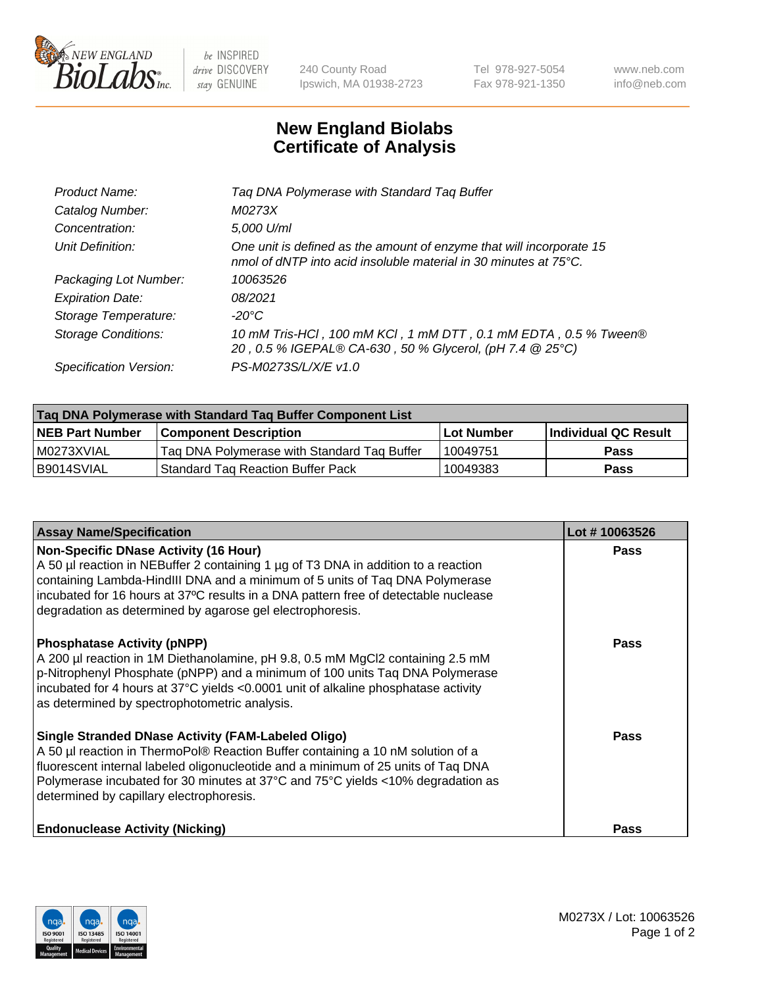

be INSPIRED drive DISCOVERY stay GENUINE

240 County Road Ipswich, MA 01938-2723 Tel 978-927-5054 Fax 978-921-1350 www.neb.com info@neb.com

## **New England Biolabs Certificate of Analysis**

| Product Name:              | Tag DNA Polymerase with Standard Tag Buffer                                                                                                        |
|----------------------------|----------------------------------------------------------------------------------------------------------------------------------------------------|
| Catalog Number:            | M0273X                                                                                                                                             |
| Concentration:             | 5,000 U/ml                                                                                                                                         |
| Unit Definition:           | One unit is defined as the amount of enzyme that will incorporate 15<br>nmol of dNTP into acid insoluble material in 30 minutes at $75^{\circ}$ C. |
| Packaging Lot Number:      | 10063526                                                                                                                                           |
| <b>Expiration Date:</b>    | 08/2021                                                                                                                                            |
| Storage Temperature:       | $-20^{\circ}$ C                                                                                                                                    |
| <b>Storage Conditions:</b> | 10 mM Tris-HCl, 100 mM KCl, 1 mM DTT, 0.1 mM EDTA, 0.5 % Tween®<br>20, 0.5 % IGEPAL® CA-630, 50 % Glycerol, (pH 7.4 @ 25°C)                        |
| Specification Version:     | PS-M0273S/L/X/E v1.0                                                                                                                               |

| Tag DNA Polymerase with Standard Tag Buffer Component List |                                             |                   |                      |  |
|------------------------------------------------------------|---------------------------------------------|-------------------|----------------------|--|
| <b>NEB Part Number</b>                                     | Component Description_                      | <b>Lot Number</b> | Individual QC Result |  |
| M0273XVIAL                                                 | Tag DNA Polymerase with Standard Tag Buffer | 10049751          | Pass                 |  |
| B9014SVIAL                                                 | <b>Standard Tag Reaction Buffer Pack</b>    | 10049383          | <b>Pass</b>          |  |

| <b>Assay Name/Specification</b>                                                                                                                                                                                                                                                                                                                                 | Lot #10063526 |
|-----------------------------------------------------------------------------------------------------------------------------------------------------------------------------------------------------------------------------------------------------------------------------------------------------------------------------------------------------------------|---------------|
| Non-Specific DNase Activity (16 Hour)<br>A 50 µl reaction in NEBuffer 2 containing 1 µg of T3 DNA in addition to a reaction<br>containing Lambda-HindIII DNA and a minimum of 5 units of Taq DNA Polymerase<br>incubated for 16 hours at 37°C results in a DNA pattern free of detectable nuclease<br>degradation as determined by agarose gel electrophoresis. | <b>Pass</b>   |
| <b>Phosphatase Activity (pNPP)</b><br>A 200 µl reaction in 1M Diethanolamine, pH 9.8, 0.5 mM MgCl2 containing 2.5 mM<br>$\vert$ p-Nitrophenyl Phosphate (pNPP) and a minimum of 100 units Taq DNA Polymerase<br>incubated for 4 hours at 37°C yields <0.0001 unit of alkaline phosphatase activity<br>as determined by spectrophotometric analysis.             | <b>Pass</b>   |
| Single Stranded DNase Activity (FAM-Labeled Oligo)<br>A 50 µl reaction in ThermoPol® Reaction Buffer containing a 10 nM solution of a<br>fluorescent internal labeled oligonucleotide and a minimum of 25 units of Taq DNA<br>Polymerase incubated for 30 minutes at 37°C and 75°C yields <10% degradation as<br>determined by capillary electrophoresis.       | <b>Pass</b>   |
| <b>Endonuclease Activity (Nicking)</b>                                                                                                                                                                                                                                                                                                                          | <b>Pass</b>   |